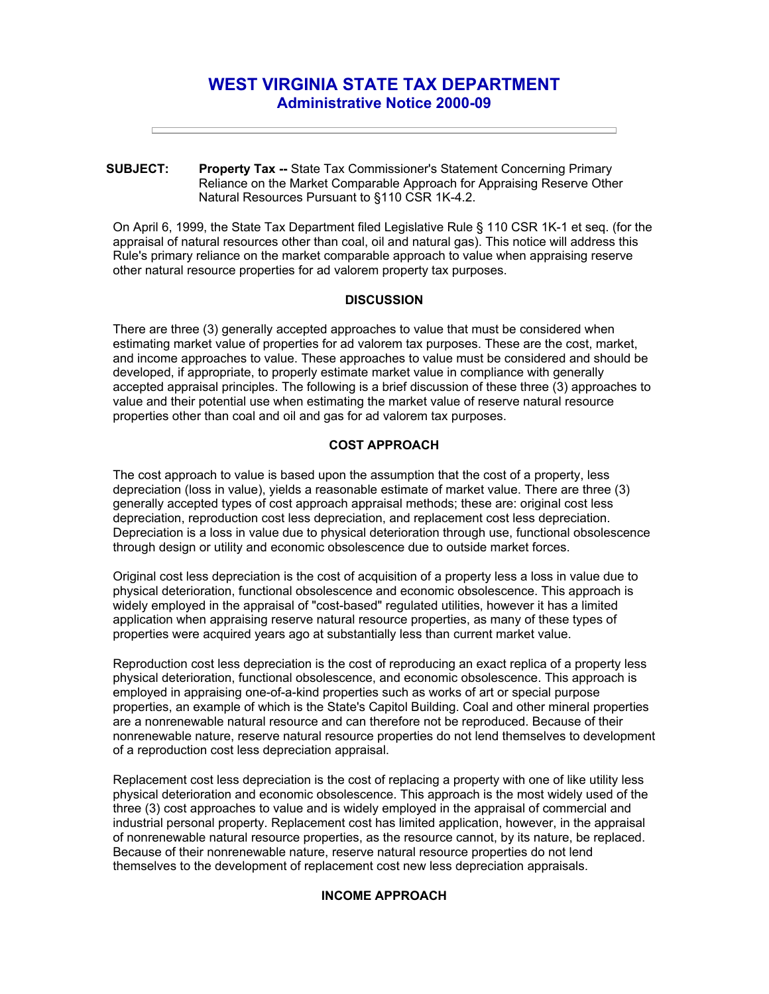# **WEST VIRGINIA STATE TAX DEPARTMENT Administrative Notice 2000-09**

**SUBJECT: Property Tax --** State Tax Commissioner's Statement Concerning Primary Reliance on the Market Comparable Approach for Appraising Reserve Other Natural Resources Pursuant to §110 CSR 1K-4.2.

On April 6, 1999, the State Tax Department filed Legislative Rule § 110 CSR 1K-1 et seq. (for the appraisal of natural resources other than coal, oil and natural gas). This notice will address this Rule's primary reliance on the market comparable approach to value when appraising reserve other natural resource properties for ad valorem property tax purposes.

## **DISCUSSION**

There are three (3) generally accepted approaches to value that must be considered when estimating market value of properties for ad valorem tax purposes. These are the cost, market, and income approaches to value. These approaches to value must be considered and should be developed, if appropriate, to properly estimate market value in compliance with generally accepted appraisal principles. The following is a brief discussion of these three (3) approaches to value and their potential use when estimating the market value of reserve natural resource properties other than coal and oil and gas for ad valorem tax purposes.

## **COST APPROACH**

The cost approach to value is based upon the assumption that the cost of a property, less depreciation (loss in value), yields a reasonable estimate of market value. There are three (3) generally accepted types of cost approach appraisal methods; these are: original cost less depreciation, reproduction cost less depreciation, and replacement cost less depreciation. Depreciation is a loss in value due to physical deterioration through use, functional obsolescence through design or utility and economic obsolescence due to outside market forces.

Original cost less depreciation is the cost of acquisition of a property less a loss in value due to physical deterioration, functional obsolescence and economic obsolescence. This approach is widely employed in the appraisal of "cost-based" regulated utilities, however it has a limited application when appraising reserve natural resource properties, as many of these types of properties were acquired years ago at substantially less than current market value.

Reproduction cost less depreciation is the cost of reproducing an exact replica of a property less physical deterioration, functional obsolescence, and economic obsolescence. This approach is employed in appraising one-of-a-kind properties such as works of art or special purpose properties, an example of which is the State's Capitol Building. Coal and other mineral properties are a nonrenewable natural resource and can therefore not be reproduced. Because of their nonrenewable nature, reserve natural resource properties do not lend themselves to development of a reproduction cost less depreciation appraisal.

Replacement cost less depreciation is the cost of replacing a property with one of like utility less physical deterioration and economic obsolescence. This approach is the most widely used of the three (3) cost approaches to value and is widely employed in the appraisal of commercial and industrial personal property. Replacement cost has limited application, however, in the appraisal of nonrenewable natural resource properties, as the resource cannot, by its nature, be replaced. Because of their nonrenewable nature, reserve natural resource properties do not lend themselves to the development of replacement cost new less depreciation appraisals.

### **INCOME APPROACH**